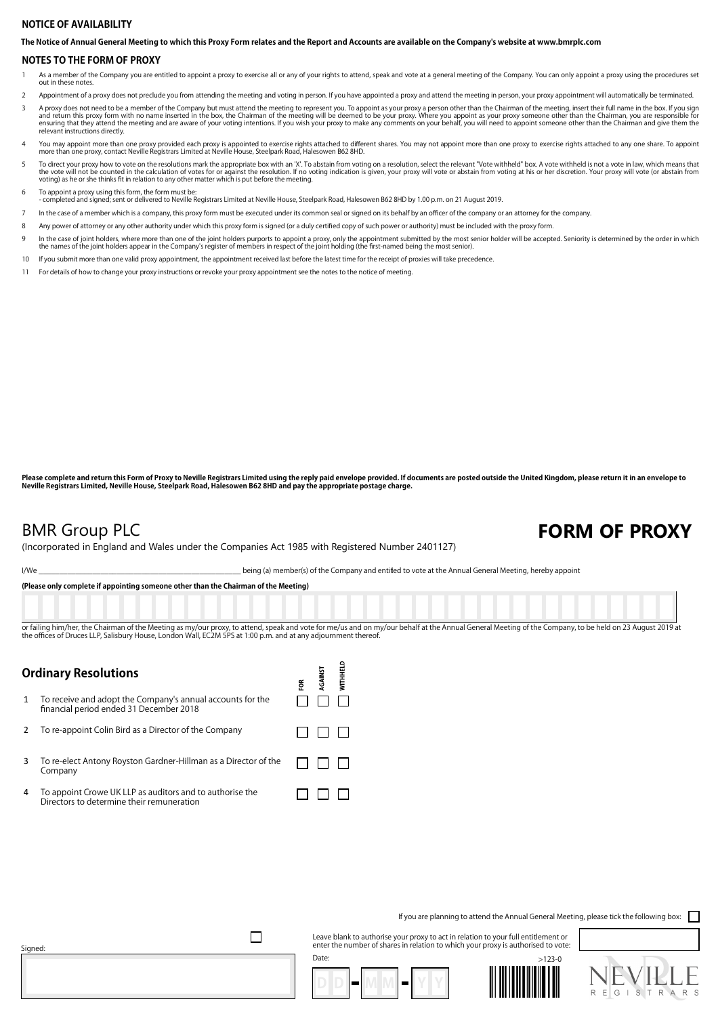## **NOTICE OF AVAILABILITY**

**The Notice of Annual General Meeting to which this Proxy Form relates and the Report and Accounts are available on the Company's website at www.bmrplc.com**

### **NOTES TO THE FORM OF PROXY**

- 1 As a member of the Company you are entitled to appoint a proxy to exercise all or any of your rights to attend, speak and vote at a general meeting of the Company. You can only appoint a proxy using the procedures set out in these notes.
- 2 Appointment of a proxy does not preclude you from attending the meeting and voting in person. If you have appointed a proxy and attend the meeting in person, your proxy appointment will automatically be terminated.
- A proxy does not need to be a member of the Company but must attend the meeting to represent you. To appoint as your proxy a person other than the Chairman of the meeting, insert their full name in the box. If you sign<br>and relevant instructions directly.
- You may appoint more than one proxy provided each proxy is appointed to exercise rights attached to different shares. You may not appoint more than one proxy to exercise rights attached to any one share. To appoint more th
- To direct your proxy how to vote on the resolutions mark the appropriate box with an 'X'. To abstain from voting on a resolution, select the relevant "Vote withheld" box. A vote withheld is not a vote in law, which means t
- 
- 6 To appoint a proxy using this form, the form must be: completed and signed; sent or delivered to Neville Registrars Limited at Neville House, Steelpark Road, Halesowen B62 8HD by 1.00 p.m. on 21 August 2019.
- 7 In the case of a member which is a company, this proxy form must be executed under its common seal or signed on its behalf by an officer of the company or an attorney for the company.
- 8 Any power of attorney or any other authority under which this proxy form is signed (or a duly certified copy of such power or authority) must be included with the proxy form.
- h the case of joint holders, where more than one of the joint holders purports to appoint a proxy, only the appointment submitted by the most senior holder will be accepted. Seniority is determined by the order in which<br>th
- 10 If you submit more than one valid proxy appointment, the appointment received last before the latest time for the receipt of proxies will take precedence.
- 11 For details of how to change your proxy instructions or revoke your proxy appointment see the notes to the notice of meeting.

Please complete and return this Form of Proxy to Neville Registrars Limited using the reply paid envelope provided. If documents are posted outside the United Kingdom, please return it in an envelope to<br>Neville Registrars

## **BMR Group PLC FORM OF PROXY**

(Incorporated in England and Wales under the Companies Act 1985 with Registered Number 2401127)

 $\Box$ 

I/We state of the Company and entitled to vote at the Annual General Meeting, hereby appoint

**(Please only complete if appointing someone other than the Chairman of the Meeting)**

or failing him/her, the Chairman of the Meeting as my/our proxy, to attend, speak and vote for me/us and on my/our behalf at the Annual General Meeting of the Company, to be held on 23 August 2019 at the offices of Druces LLP, Salisbury House, London Wall, EC2M 5PS at 1:00 p.m. and at any adjournment thereo

> **WITHHELD** AGAINST ទ្ថ

| Ordinary Resolutions |  |  |
|----------------------|--|--|
|                      |  |  |

Signed:

| To receive and adopt the Company's annual accounts for the<br>financial period ended 31 December 2018 | <b>FIII</b> |
|-------------------------------------------------------------------------------------------------------|-------------|
| To re-appoint Colin Bird as a Director of the Company                                                 |             |
| To re-elect Antony Royston Gardner-Hillman as a Director of the $\Box$                                |             |

- Company
- 4 To appoint Crowe UK LLP as auditors and to authorise the  $\Box$  $\Box$  $\Box$ Directors to determine their remuneration

If you are planning to attend the Annual General Meeting, please tick the following box:

| Leave blank to authorise your proxy to act in relation to your full entitlement or |          |
|------------------------------------------------------------------------------------|----------|
| enter the number of shares in relation to which your proxy is authorised to vote:  |          |
| Date:                                                                              | $>123-0$ |